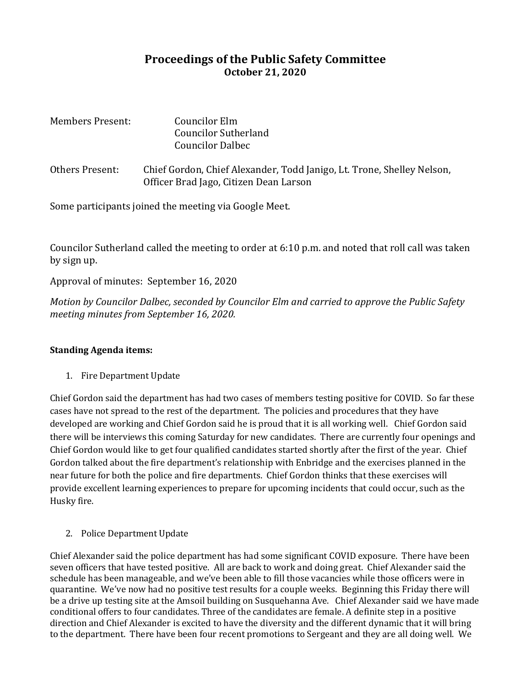## **Proceedings of the Public Safety Committee October 21, 2020**

| Members Present: | Councilor Elm<br><b>Councilor Sutherland</b><br><b>Councilor Dalbec</b>                                          |
|------------------|------------------------------------------------------------------------------------------------------------------|
| Others Present:  | Chief Gordon, Chief Alexander, Todd Janigo, Lt. Trone, Shelley Nelson,<br>Officer Brad Jago, Citizen Dean Larson |

Some participants joined the meeting via Google Meet.

Councilor Sutherland called the meeting to order at 6:10 p.m. and noted that roll call was taken by sign up.

Approval of minutes: September 16, 2020

*Motion by Councilor Dalbec, seconded by Councilor Elm and carried to approve the Public Safety meeting minutes from September 16, 2020.*

## **Standing Agenda items:**

1. Fire Department Update

Chief Gordon said the department has had two cases of members testing positive for COVID. So far these cases have not spread to the rest of the department. The policies and procedures that they have developed are working and Chief Gordon said he is proud that it is all working well. Chief Gordon said there will be interviews this coming Saturday for new candidates. There are currently four openings and Chief Gordon would like to get four qualified candidates started shortly after the first of the year. Chief Gordon talked about the fire department's relationship with Enbridge and the exercises planned in the near future for both the police and fire departments. Chief Gordon thinks that these exercises will provide excellent learning experiences to prepare for upcoming incidents that could occur, such as the Husky fire.

2. Police Department Update

Chief Alexander said the police department has had some significant COVID exposure. There have been seven officers that have tested positive. All are back to work and doing great. Chief Alexander said the schedule has been manageable, and we've been able to fill those vacancies while those officers were in quarantine. We've now had no positive test results for a couple weeks. Beginning this Friday there will be a drive up testing site at the Amsoil building on Susquehanna Ave. Chief Alexander said we have made conditional offers to four candidates. Three of the candidates are female. A definite step in a positive direction and Chief Alexander is excited to have the diversity and the different dynamic that it will bring to the department. There have been four recent promotions to Sergeant and they are all doing well. We